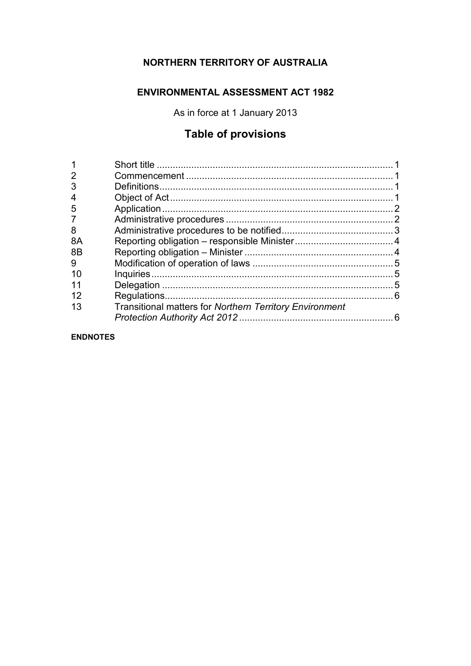## **NORTHERN TERRITORY OF AUSTRALIA**

## **ENVIRONMENTAL ASSESSMENT ACT 1982**

As in force at 1 January 2013

## **Table of provisions**

| $\overline{2}$ |                                                                |  |
|----------------|----------------------------------------------------------------|--|
| 3              |                                                                |  |
| 4              |                                                                |  |
| 5              |                                                                |  |
| $\overline{7}$ |                                                                |  |
| 8              |                                                                |  |
| 8A             |                                                                |  |
| 8 <sub>B</sub> |                                                                |  |
| 9              |                                                                |  |
| 10             |                                                                |  |
| 11             |                                                                |  |
| 12             |                                                                |  |
| 13             | <b>Transitional matters for Northern Territory Environment</b> |  |
|                |                                                                |  |
|                |                                                                |  |

**ENDNOTES**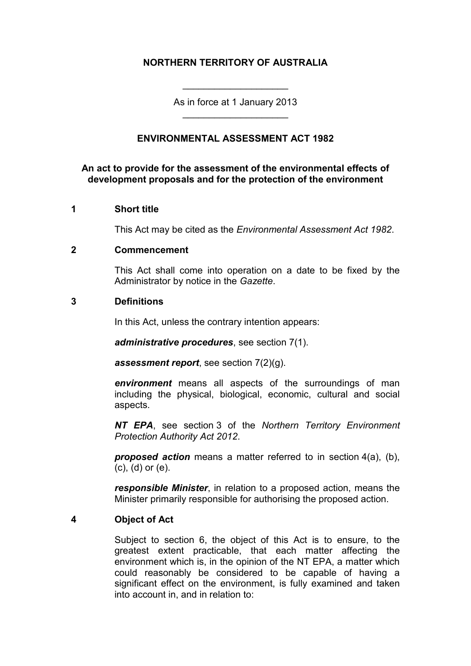## **NORTHERN TERRITORY OF AUSTRALIA**

As in force at 1 January 2013 \_\_\_\_\_\_\_\_\_\_\_\_\_\_\_\_\_\_\_\_

\_\_\_\_\_\_\_\_\_\_\_\_\_\_\_\_\_\_\_\_

## **ENVIRONMENTAL ASSESSMENT ACT 1982**

## **An act to provide for the assessment of the environmental effects of development proposals and for the protection of the environment**

#### **1 Short title**

This Act may be cited as the *Environmental Assessment Act 1982*.

#### **2 Commencement**

This Act shall come into operation on a date to be fixed by the Administrator by notice in the *Gazette*.

#### **3 Definitions**

In this Act, unless the contrary intention appears:

*administrative procedures*, see section 7(1).

*assessment report*, see section 7(2)(g).

*environment* means all aspects of the surroundings of man including the physical, biological, economic, cultural and social aspects.

*NT EPA*, see section 3 of the *Northern Territory Environment Protection Authority Act 2012*.

*proposed action* means a matter referred to in section 4(a), (b), (c), (d) or (e).

*responsible Minister*, in relation to a proposed action, means the Minister primarily responsible for authorising the proposed action.

#### **4 Object of Act**

Subject to section 6, the object of this Act is to ensure, to the greatest extent practicable, that each matter affecting the environment which is, in the opinion of the NT EPA, a matter which could reasonably be considered to be capable of having a significant effect on the environment, is fully examined and taken into account in, and in relation to: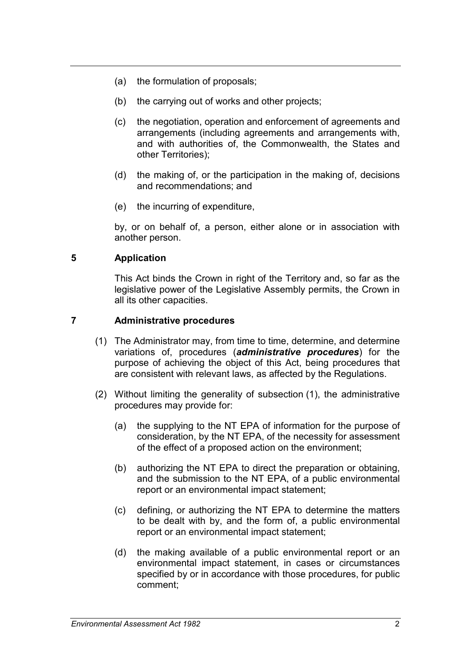- (a) the formulation of proposals;
- (b) the carrying out of works and other projects;
- (c) the negotiation, operation and enforcement of agreements and arrangements (including agreements and arrangements with, and with authorities of, the Commonwealth, the States and other Territories);
- (d) the making of, or the participation in the making of, decisions and recommendations; and
- (e) the incurring of expenditure,

by, or on behalf of, a person, either alone or in association with another person.

## **5 Application**

This Act binds the Crown in right of the Territory and, so far as the legislative power of the Legislative Assembly permits, the Crown in all its other capacities.

## **7 Administrative procedures**

- (1) The Administrator may, from time to time, determine, and determine variations of, procedures (*administrative procedures*) for the purpose of achieving the object of this Act, being procedures that are consistent with relevant laws, as affected by the Regulations.
- (2) Without limiting the generality of subsection (1), the administrative procedures may provide for:
	- (a) the supplying to the NT EPA of information for the purpose of consideration, by the NT EPA, of the necessity for assessment of the effect of a proposed action on the environment;
	- (b) authorizing the NT EPA to direct the preparation or obtaining, and the submission to the NT EPA, of a public environmental report or an environmental impact statement;
	- (c) defining, or authorizing the NT EPA to determine the matters to be dealt with by, and the form of, a public environmental report or an environmental impact statement;
	- (d) the making available of a public environmental report or an environmental impact statement, in cases or circumstances specified by or in accordance with those procedures, for public comment;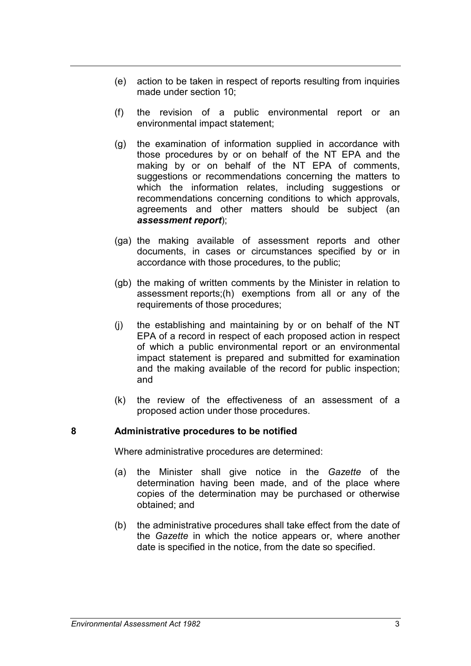- (e) action to be taken in respect of reports resulting from inquiries made under section 10;
- (f) the revision of a public environmental report or an environmental impact statement;
- (g) the examination of information supplied in accordance with those procedures by or on behalf of the NT EPA and the making by or on behalf of the NT EPA of comments, suggestions or recommendations concerning the matters to which the information relates, including suggestions or recommendations concerning conditions to which approvals, agreements and other matters should be subject (an *assessment report*);
- (ga) the making available of assessment reports and other documents, in cases or circumstances specified by or in accordance with those procedures, to the public;
- (gb) the making of written comments by the Minister in relation to assessment reports;(h) exemptions from all or any of the requirements of those procedures;
- (j) the establishing and maintaining by or on behalf of the NT EPA of a record in respect of each proposed action in respect of which a public environmental report or an environmental impact statement is prepared and submitted for examination and the making available of the record for public inspection; and
- (k) the review of the effectiveness of an assessment of a proposed action under those procedures.

## **8 Administrative procedures to be notified**

Where administrative procedures are determined:

- (a) the Minister shall give notice in the *Gazette* of the determination having been made, and of the place where copies of the determination may be purchased or otherwise obtained; and
- (b) the administrative procedures shall take effect from the date of the *Gazette* in which the notice appears or, where another date is specified in the notice, from the date so specified.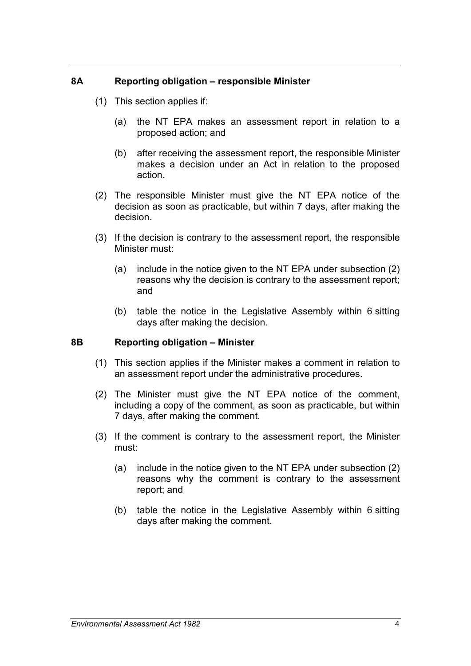#### **8A Reporting obligation – responsible Minister**

- (1) This section applies if:
	- (a) the NT EPA makes an assessment report in relation to a proposed action; and
	- (b) after receiving the assessment report, the responsible Minister makes a decision under an Act in relation to the proposed action.
- (2) The responsible Minister must give the NT EPA notice of the decision as soon as practicable, but within 7 days, after making the decision.
- (3) If the decision is contrary to the assessment report, the responsible Minister must:
	- (a) include in the notice given to the NT EPA under subsection (2) reasons why the decision is contrary to the assessment report; and
	- (b) table the notice in the Legislative Assembly within 6 sitting days after making the decision.

#### **8B Reporting obligation – Minister**

- (1) This section applies if the Minister makes a comment in relation to an assessment report under the administrative procedures.
- (2) The Minister must give the NT EPA notice of the comment, including a copy of the comment, as soon as practicable, but within 7 days, after making the comment.
- (3) If the comment is contrary to the assessment report, the Minister must:
	- (a) include in the notice given to the NT EPA under subsection (2) reasons why the comment is contrary to the assessment report; and
	- (b) table the notice in the Legislative Assembly within 6 sitting days after making the comment.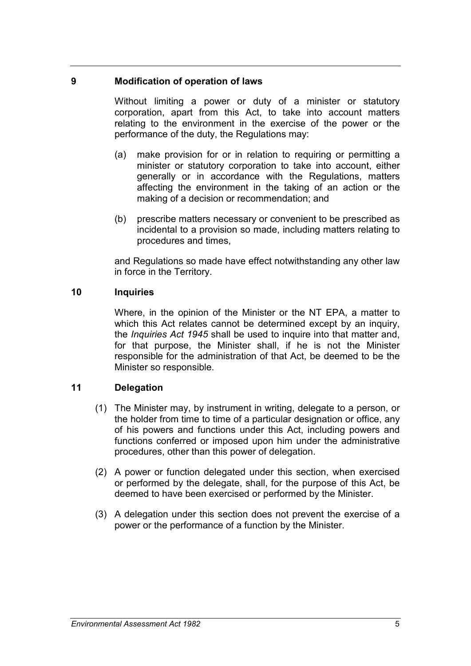## **9 Modification of operation of laws**

Without limiting a power or duty of a minister or statutory corporation, apart from this Act, to take into account matters relating to the environment in the exercise of the power or the performance of the duty, the Regulations may:

- (a) make provision for or in relation to requiring or permitting a minister or statutory corporation to take into account, either generally or in accordance with the Regulations, matters affecting the environment in the taking of an action or the making of a decision or recommendation; and
- (b) prescribe matters necessary or convenient to be prescribed as incidental to a provision so made, including matters relating to procedures and times,

and Regulations so made have effect notwithstanding any other law in force in the Territory.

## **10 Inquiries**

Where, in the opinion of the Minister or the NT EPA, a matter to which this Act relates cannot be determined except by an inquiry, the *Inquiries Act 1945* shall be used to inquire into that matter and, for that purpose, the Minister shall, if he is not the Minister responsible for the administration of that Act, be deemed to be the Minister so responsible.

## **11 Delegation**

- (1) The Minister may, by instrument in writing, delegate to a person, or the holder from time to time of a particular designation or office, any of his powers and functions under this Act, including powers and functions conferred or imposed upon him under the administrative procedures, other than this power of delegation.
- (2) A power or function delegated under this section, when exercised or performed by the delegate, shall, for the purpose of this Act, be deemed to have been exercised or performed by the Minister.
- (3) A delegation under this section does not prevent the exercise of a power or the performance of a function by the Minister.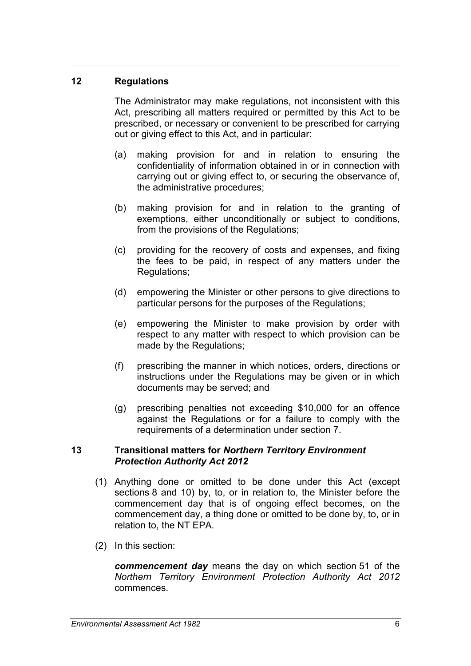## **12 Regulations**

The Administrator may make regulations, not inconsistent with this Act, prescribing all matters required or permitted by this Act to be prescribed, or necessary or convenient to be prescribed for carrying out or giving effect to this Act, and in particular:

- (a) making provision for and in relation to ensuring the confidentiality of information obtained in or in connection with carrying out or giving effect to, or securing the observance of, the administrative procedures;
- (b) making provision for and in relation to the granting of exemptions, either unconditionally or subject to conditions, from the provisions of the Regulations;
- (c) providing for the recovery of costs and expenses, and fixing the fees to be paid, in respect of any matters under the Regulations;
- (d) empowering the Minister or other persons to give directions to particular persons for the purposes of the Regulations;
- (e) empowering the Minister to make provision by order with respect to any matter with respect to which provision can be made by the Regulations;
- (f) prescribing the manner in which notices, orders, directions or instructions under the Regulations may be given or in which documents may be served; and
- (g) prescribing penalties not exceeding \$10,000 for an offence against the Regulations or for a failure to comply with the requirements of a determination under section 7.

#### **13 Transitional matters for** *Northern Territory Environment Protection Authority Act 2012*

- (1) Anything done or omitted to be done under this Act (except sections 8 and 10) by, to, or in relation to, the Minister before the commencement day that is of ongoing effect becomes, on the commencement day, a thing done or omitted to be done by, to, or in relation to, the NT EPA.
- (2) In this section:

*commencement day* means the day on which section 51 of the *Northern Territory Environment Protection Authority Act 2012*  commences.